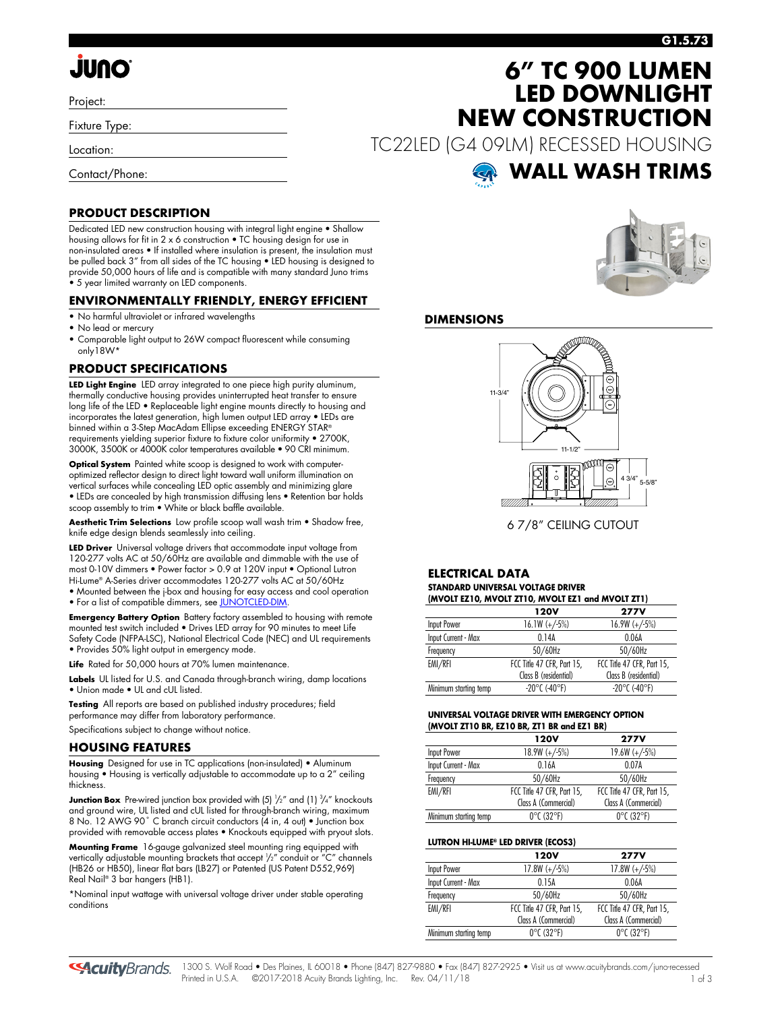# **JUNO**

Project:

Fixture Type:

Location:

Contact/Phone:

#### **G1.5.73**

## **6" TC 900 LUMEN LED DOWNLIGHT NEW CONSTRUCTION**

TC22LED (G4 09LM) RECESSED HOUSING



#### **PRODUCT DESCRIPTION**

Dedicated LED new construction housing with integral light engine • Shallow housing allows for fit in 2 x 6 construction • TC housing design for use in non-insulated areas • If installed where insulation is present, the insulation must be pulled back 3" from all sides of the TC housing • LED housing is designed to provide 50,000 hours of life and is compatible with many standard Juno trims • 5 year limited warranty on LED components.

#### **ENVIRONMENTALLY FRIENDLY, ENERGY EFFICIENT**

- No harmful ultraviolet or infrared wavelengths
- No lead or mercury
- Comparable light output to 26W compact fluorescent while consuming only18W\*

#### **PRODUCT SPECIFICATIONS**

**LED Light Engine** LED array integrated to one piece high purity aluminum, thermally conductive housing provides uninterrupted heat transfer to ensure long life of the LED • Replaceable light engine mounts directly to housing and incorporates the latest generation, high lumen output LED array • LEDs are binned within a 3-Step MacAdam Ellipse exceeding ENERGY STAR® requirements yielding superior fixture to fixture color uniformity • 2700K, 3000K, 3500K or 4000K color temperatures available • 90 CRI minimum.

**Optical System** Painted white scoop is designed to work with computeroptimized reflector design to direct light toward wall uniform illumination on vertical surfaces while concealing LED optic assembly and minimizing glare • LEDs are concealed by high transmission diffusing lens • Retention bar holds scoop assembly to trim • White or black baffle available.

**Aesthetic Trim Selections** Low profile scoop wall wash trim • Shadow free, knife edge design blends seamlessly into ceiling.

**LED Driver** Universal voltage drivers that accommodate input voltage from 120-277 volts AC at 50/60Hz are available and dimmable with the use of most 0-10V dimmers • Power factor > 0.9 at 120V input • Optional Lutron Hi-Lume® A-Series driver accommodates 120-277 volts AC at 50/60Hz • Mounted between the j-box and housing for easy access and cool operation • For a list of compatible dimmers, se[e JUNOTCLED-DIM.](http://www.acuitybrands.com/shell/-/media/Files/Acuity/Other/JUNOICLED-DIM.pdf)

**Emergency Battery Option** Battery factory assembled to housing with remote mounted test switch included • Drives LED array for 90 minutes to meet Life Safety Code (NFPA-LSC), National Electrical Code (NEC) and UL requirements • Provides 50% light output in emergency mode.

Life Rated for 50,000 hours at 70% lumen maintenance.

**Labels** UL listed for U.S. and Canada through-branch wiring, damp locations • Union made • UL and cUL listed.

**Testing** All reports are based on published industry procedures; field performance may differ from laboratory performance.

Specifications subject to change without notice.

#### **HOUSING FEATURES**

**Housing** Designed for use in TC applications (non-insulated) • Aluminum housing • Housing is vertically adjustable to accommodate up to a 2" ceiling thickness.

**Junction Box** Pre-wired junction box provided with (5) '/2" and (1) <sup>3</sup>/4" knockouts and ground wire, UL listed and cUL listed for through-branch wiring, maximum 8 No. 12 AWG 90° C branch circuit conductors (4 in, 4 out) • Junction box provided with removable access plates • Knockouts equipped with pryout slots.

**Mounting Frame** 16-gauge galvanized steel mounting ring equipped with vertically adjustable mounting brackets that accept 1 /2" conduit or "C" channels (HB26 or HB50), linear flat bars (LB27) or Patented (US Patent D552,969) Real Nail® 3 bar hangers (HB1).

\*Nominal input wattage with universal voltage driver under stable operating conditions



#### **DIMENSIONS**



6 7/8" CEILING CUTOUT

#### **ELECTRICAL DATA STANDARD UNIVERSAL VOLTAGE DRIVER (MVOLT EZ10, MVOLT ZT10, MVOLT EZ1 and MVOLT ZT1)**

|                       | $(0.01$ version $V$ , $(0.01$ version $V$ , $(0.01)$ version $V$ . The $V$ version $V$ |                            |
|-----------------------|----------------------------------------------------------------------------------------|----------------------------|
|                       | 120V                                                                                   | <b>277V</b>                |
| Input Power           | $16.1W (+/-5%)$                                                                        | $16.9W (+/-5%)$            |
| Input Current - Max   | 0.14A                                                                                  | 0.06A                      |
| Frequency             | 50/60Hz                                                                                | 50/60Hz                    |
| EMI/RFI               | FCC Title 47 CFR, Part 15,                                                             | FCC Title 47 CFR, Part 15, |
|                       | Class B (residential)                                                                  | Class B (residential)      |
| Minimum starting temp | $-20^{\circ}$ C (-40°F)                                                                | $-20^{\circ}$ C (-40°F)    |
|                       |                                                                                        |                            |

#### **UNIVERSAL VOLTAGE DRIVER WITH EMERGENCY OPTION (MVOLT ZT10 BR, EZ10 BR, ZT1 BR and EZ1 BR)**

|                       | <b>120V</b>                     | <b>277V</b>                     |
|-----------------------|---------------------------------|---------------------------------|
| Input Power           | $18.9W (+/-5%)$                 | $19.6W (+/-5%)$                 |
| Input Current - Max   | 0.16A                           | 0.07A                           |
| Frequency             | 50/60Hz                         | 50/60Hz                         |
| EMI/RFI               | FCC Title 47 CFR, Part 15,      | FCC Title 47 CFR, Part 15,      |
|                       | Class A (Commercial)            | Class A (Commercial)            |
| Minimum starting temp | $0^{\circ}$ C (32 $^{\circ}$ F) | $0^{\circ}$ C (32 $^{\circ}$ F) |

#### **LUTRON HI-LUME® LED DRIVER (ECOS3)**

|                       | 120V                            | <b>277V</b>                     |
|-----------------------|---------------------------------|---------------------------------|
| Input Power           | $17.8W (+/-5%)$                 | $17.8W (+/-5%)$                 |
| Input Current - Max   | 0 15A                           | 0.06A                           |
| Frequency             | 50/60Hz                         | 50/60Hz                         |
| EMI/RFI               | FCC Title 47 CFR, Part 15,      | FCC Title 47 CFR, Part 15,      |
|                       | Class A (Commercial)            | Class A (Commercial)            |
| Minimum starting temp | $0^{\circ}$ C (32 $^{\circ}$ F) | $0^{\circ}$ C (32 $^{\circ}$ F) |

**SAcuity** Brands.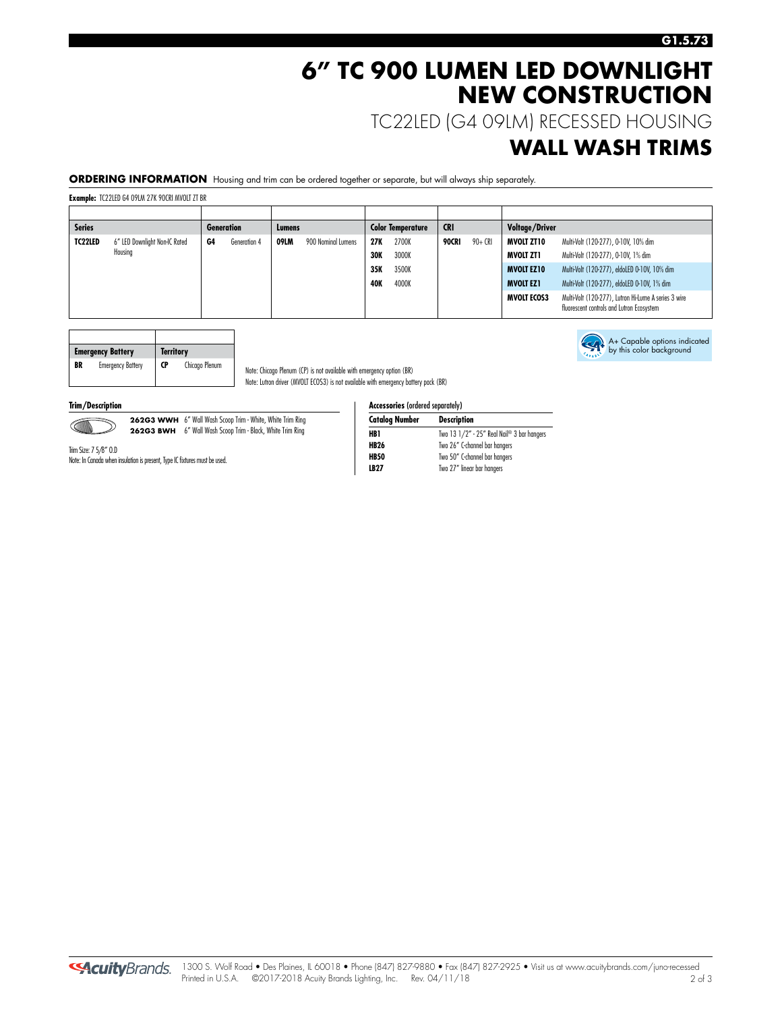### **6" TC 900 LUMEN LED DOWNLIGHT NEW CONSTRUCTION**

TC22LED (G4 09LM) RECESSED HOUSING

### **WALL WASH TRIMS**

**ORDERING INFORMATION** Housing and trim can be ordered together or separate, but will always ship separately.

**Example:** TC22LED G4 09LM 27K 90CRI MVOLT ZT BR

| <b>Series</b> |                               |    | <b>Generation</b> | Lumens |                    |            | <b>Color Temperature</b> | <b>CRI</b> |         | <b>Voltage/Driver</b> |                                                                                                   |
|---------------|-------------------------------|----|-------------------|--------|--------------------|------------|--------------------------|------------|---------|-----------------------|---------------------------------------------------------------------------------------------------|
| TC22LED       | 6" LED Downlight Non-IC Rated | G4 | Generation 4      | 09LM   | 900 Nominal Lumens | 27K        | 2700K                    | 90CRI      | 90+ CRI | MVOLT ZT10            | Multi-Volt (120-277), 0-10V, 10% dim                                                              |
|               | Housing                       |    |                   |        |                    | 30K        | 3000K                    |            |         | MVOLT ZT1             | Multi-Volt (120-277), 0-10V, 1% dim                                                               |
|               |                               |    |                   |        |                    | 35K        | 3500K                    |            |         | <b>MVOLT EZ10</b>     | Multi-Volt (120-277), eldoLED 0-10V, 10% dim                                                      |
|               |                               |    |                   |        |                    | <b>40K</b> | 4000K                    |            |         | <b>MVOLT EZ1</b>      | Multi-Volt (120-277), eldoLED 0-10V, 1% dim                                                       |
|               |                               |    |                   |        |                    |            |                          |            |         | <b>MVOLT ECOS3</b>    | Multi-Volt (120-277), Lutron Hi-Lume A series 3 wire<br>fluorescent controls and Lutron Ecosystem |

|    | <b>Emergency Battery</b> | <b>Territory</b> |                |
|----|--------------------------|------------------|----------------|
| BR | <b>Emergency Battery</b> | CP               | Chicago Plenum |

Note: In Canada when insulation is present, Type IC fixtures must be used.

Note: Chicago Plenum (CP) is not available with emergency option (BR) Note: Lutron driver (MVOLT ECOS3) is not available with emergency battery pack (BR)

**Trim/Description** 



262G3 WWH 6" Wall Wash Scoop Trim - White, White Trim Ring **262G3 BWH** 6" Wall Wash Scoop Trim - Black, White Trim Ring

| <b>Accessories (ordered separately)</b> |                                            |
|-----------------------------------------|--------------------------------------------|
| <b>Catalog Number</b>                   | <b>Description</b>                         |
| HB1                                     | Two 13 1/2" - 25" Real Nail® 3 bar hangers |
| <b>HB26</b>                             | Two 26" C-channel bar hangers              |
| <b>HB50</b>                             | Two 50" C-channel bar hangers              |
| <b>LB27</b>                             | Two 27" linear bar hangers                 |